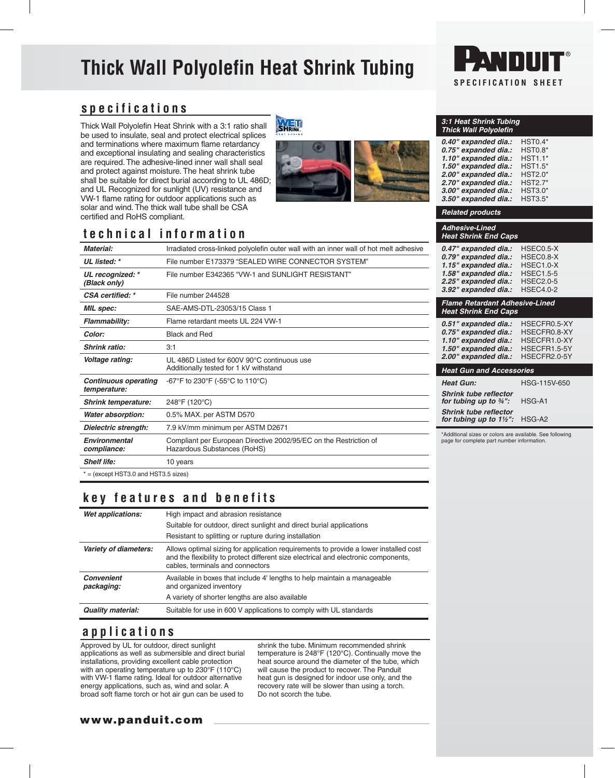# **Thick Wall Polyolefin Heat Shrink Tubing**



## **specifications**

Thick Wall Polyolefin Heat Shrink with a 3:1 ratio shall be used to insulate, seal and protect electrical splices and terminations where maximum flame retardancy and exceptional insulating and sealing characteristics are required. The adhesive-lined inner wall shall seal and protect against moisture. The heat shrink tube shall be suitable for direct burial according to UL 486D; and UL Recognized for sunlight (UV) resistance and VW-1 flame rating for outdoor applications such as solar and wind. The thick wall tube shall be CSA certified and RoHS compliant.

## **WELL**



### *3:1 Heat Shrink Tubing Thick Wall Polyolefin 0.40" expanded dia.:* HST0.4\*

| 0.TU CADUINGU UKU    | .              |
|----------------------|----------------|
| 0.75" expanded dia.: | <b>HST0.8*</b> |
| 1.10" expanded dia.: | <b>HST1.1*</b> |
| 1.50" expanded dia.: | $HST1.5*$      |
| 2.00" expanded dia.: | <b>HST2.0*</b> |
| 2.70" expanded dia.: | <b>HST2.7*</b> |
| 3.00" expanded dia.: | <b>HST3.0*</b> |
| 3.50" expanded dia.: | <b>HST3.5*</b> |
|                      |                |

*Related products Adhesive-Lined Heat Shrink End Caps*

# **technical information**

| Material:                                   | Irradiated cross-linked polyolefin outer wall with an inner wall of hot melt adhesive            |  |  |  |  |
|---------------------------------------------|--------------------------------------------------------------------------------------------------|--|--|--|--|
| UL listed: *                                | File number E173379 "SEALED WIRE CONNECTOR SYSTEM"                                               |  |  |  |  |
| UL recognized: *<br>(Black only)            | File number E342365 "VW-1 and SUNLIGHT RESISTANT"                                                |  |  |  |  |
| CSA certified: *                            | File number 244528                                                                               |  |  |  |  |
| <b>MIL</b> spec:                            | SAE-AMS-DTL-23053/15 Class 1                                                                     |  |  |  |  |
| Flammability:                               | Flame retardant meets UL 224 VW-1                                                                |  |  |  |  |
| Color:                                      | <b>Black and Red</b>                                                                             |  |  |  |  |
| <b>Shrink ratio:</b>                        | 3:1                                                                                              |  |  |  |  |
| Voltage rating:                             | UL 486D Listed for 600V 90°C continuous use<br>Additionally tested for 1 kV withstand            |  |  |  |  |
| <b>Continuous operating</b><br>temperature: | -67°F to 230°F (-55°C to 110°C)                                                                  |  |  |  |  |
| <b>Shrink temperature:</b>                  | 248°F (120°C)                                                                                    |  |  |  |  |
| <b>Water absorption:</b>                    | 0.5% MAX. per ASTM D570                                                                          |  |  |  |  |
| Dielectric strength:                        | 7.9 kV/mm minimum per ASTM D2671                                                                 |  |  |  |  |
| <b>Environmental</b><br>compliance:         | Compliant per European Directive 2002/95/EC on the Restriction of<br>Hazardous Substances (RoHS) |  |  |  |  |
| <b>Shelf life:</b>                          | 10 years                                                                                         |  |  |  |  |
| $* =$ (except HST3.0 and HST3.5 sizes)      |                                                                                                  |  |  |  |  |

## **key features and benefits**

| Wet applications:               | High impact and abrasion resistance                                                                                                                                                                             |  |  |
|---------------------------------|-----------------------------------------------------------------------------------------------------------------------------------------------------------------------------------------------------------------|--|--|
|                                 | Suitable for outdoor, direct sunlight and direct burial applications                                                                                                                                            |  |  |
|                                 | Resistant to splitting or rupture during installation                                                                                                                                                           |  |  |
| Variety of diameters:           | Allows optimal sizing for application requirements to provide a lower installed cost<br>and the flexibility to protect different size electrical and electronic components,<br>cables, terminals and connectors |  |  |
| <b>Convenient</b><br>packaging: | Available in boxes that include 4' lengths to help maintain a manageable<br>and organized inventory                                                                                                             |  |  |
|                                 | A variety of shorter lengths are also available                                                                                                                                                                 |  |  |
| <b>Quality material:</b>        | Suitable for use in 600 V applications to comply with UL standards                                                                                                                                              |  |  |

## **applications**

Approved by UL for outdoor, direct sunlight applications as well as submersible and direct burial installations, providing excellent cable protection with an operating temperature up to 230°F (110°C) with VW-1 flame rating. Ideal for outdoor alternative energy applications, such as, wind and solar. A broad soft flame torch or hot air gun can be used to

shrink the tube. Minimum recommended shrink temperature is 248°F (120°C). Continually move the heat source around the diameter of the tube, which will cause the product to recover. The Panduit heat gun is designed for indoor use only, and the recovery rate will be slower than using a torch. Do not scorch the tube.

*0.79" expanded dia.:* HSEC0.8-X *1.15" expanded dia.:* HSEC1.0-X *1.58" expanded dia.:* HSEC1.5-5 *2.25" expanded dia.:* HSEC2.0-5

### *Flame Retardant Adhesive-Lined Heat Shrink End Caps*

*3.92" expanded dia.:* HSEC4.0-2

*0.47" expanded dia.:* HSEC0.5-X

| 0.51" expanded dia.:<br>0.75" expanded dia.:<br>1.10" expanded dia.:<br>1.50" expanded dia.:<br>2.00" expanded dia.: | HSECFR0.5-XY<br>HSECFR0.8-XY<br>HSECFR1.0-XY<br>HSECFR1.5-5Y<br>HSECFR2.0-5Y |  |  |  |
|----------------------------------------------------------------------------------------------------------------------|------------------------------------------------------------------------------|--|--|--|
| <b>Heat Gun and Accessories</b>                                                                                      |                                                                              |  |  |  |
| HSG-115V-650<br><b>Heat Gun:</b>                                                                                     |                                                                              |  |  |  |
| <b>Shrink tube reflector</b><br>for tubing up to $\frac{3}{4}$ ":                                                    | HSG-A1                                                                       |  |  |  |
| Chuinletules vallaster                                                                                               |                                                                              |  |  |  |

*Shrink tube reflector for tubing up to 1½":* HSG-A2

\*Additional sizes or colors are available. See following page for complete part number information.